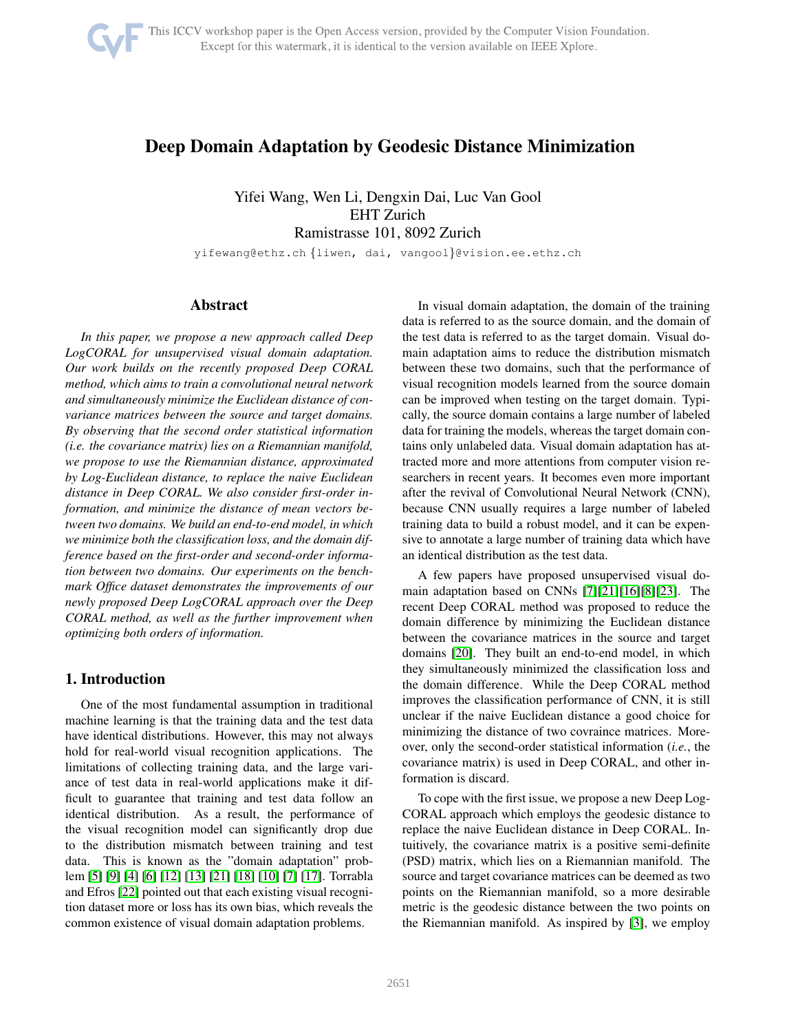

# Deep Domain Adaptation by Geodesic Distance Minimization

Yifei Wang, Wen Li, Dengxin Dai, Luc Van Gool EHT Zurich Ramistrasse 101, 8092 Zurich

yifewang@ethz.ch {liwen, dai, vangool}@vision.ee.ethz.ch

# Abstract

*In this paper, we propose a new approach called Deep LogCORAL for unsupervised visual domain adaptation. Our work builds on the recently proposed Deep CORAL method, which aims to train a convolutional neural network and simultaneously minimize the Euclidean distance of convariance matrices between the source and target domains. By observing that the second order statistical information (i.e. the covariance matrix) lies on a Riemannian manifold, we propose to use the Riemannian distance, approximated by Log-Euclidean distance, to replace the naive Euclidean distance in Deep CORAL. We also consider first-order information, and minimize the distance of mean vectors between two domains. We build an end-to-end model, in which we minimize both the classification loss, and the domain difference based on the first-order and second-order information between two domains. Our experiments on the benchmark Office dataset demonstrates the improvements of our newly proposed Deep LogCORAL approach over the Deep CORAL method, as well as the further improvement when optimizing both orders of information.*

# 1. Introduction

One of the most fundamental assumption in traditional machine learning is that the training data and the test data have identical distributions. However, this may not always hold for real-world visual recognition applications. The limitations of collecting training data, and the large variance of test data in real-world applications make it difficult to guarantee that training and test data follow an identical distribution. As a result, the performance of the visual recognition model can significantly drop due to the distribution mismatch between training and test data. This is known as the "domain adaptation" problem [\[5\]](#page-6-0) [\[9\]](#page-6-1) [\[4\]](#page-6-2) [\[6\]](#page-6-3) [\[12\]](#page-6-4) [\[13\]](#page-6-5) [\[21\]](#page-6-6) [\[18\]](#page-6-7) [\[10\]](#page-6-8) [\[7\]](#page-6-9) [\[17\]](#page-6-10). Torrabla and Efros [\[22\]](#page-6-11) pointed out that each existing visual recognition dataset more or loss has its own bias, which reveals the common existence of visual domain adaptation problems.

In visual domain adaptation, the domain of the training data is referred to as the source domain, and the domain of the test data is referred to as the target domain. Visual domain adaptation aims to reduce the distribution mismatch between these two domains, such that the performance of visual recognition models learned from the source domain can be improved when testing on the target domain. Typically, the source domain contains a large number of labeled data for training the models, whereas the target domain contains only unlabeled data. Visual domain adaptation has attracted more and more attentions from computer vision researchers in recent years. It becomes even more important after the revival of Convolutional Neural Network (CNN), because CNN usually requires a large number of labeled training data to build a robust model, and it can be expensive to annotate a large number of training data which have an identical distribution as the test data.

A few papers have proposed unsupervised visual domain adaptation based on CNNs [\[7\]](#page-6-9)[\[21\]](#page-6-6)[\[16\]](#page-6-12)[\[8\]](#page-6-13)[\[23\]](#page-6-14). The recent Deep CORAL method was proposed to reduce the domain difference by minimizing the Euclidean distance between the covariance matrices in the source and target domains [\[20\]](#page-6-15). They built an end-to-end model, in which they simultaneously minimized the classification loss and the domain difference. While the Deep CORAL method improves the classification performance of CNN, it is still unclear if the naive Euclidean distance a good choice for minimizing the distance of two covraince matrices. Moreover, only the second-order statistical information (*i.e.*, the covariance matrix) is used in Deep CORAL, and other information is discard.

To cope with the first issue, we propose a new Deep Log-CORAL approach which employs the geodesic distance to replace the naive Euclidean distance in Deep CORAL. Intuitively, the covariance matrix is a positive semi-definite (PSD) matrix, which lies on a Riemannian manifold. The source and target covariance matrices can be deemed as two points on the Riemannian manifold, so a more desirable metric is the geodesic distance between the two points on the Riemannian manifold. As inspired by [\[3\]](#page-6-16), we employ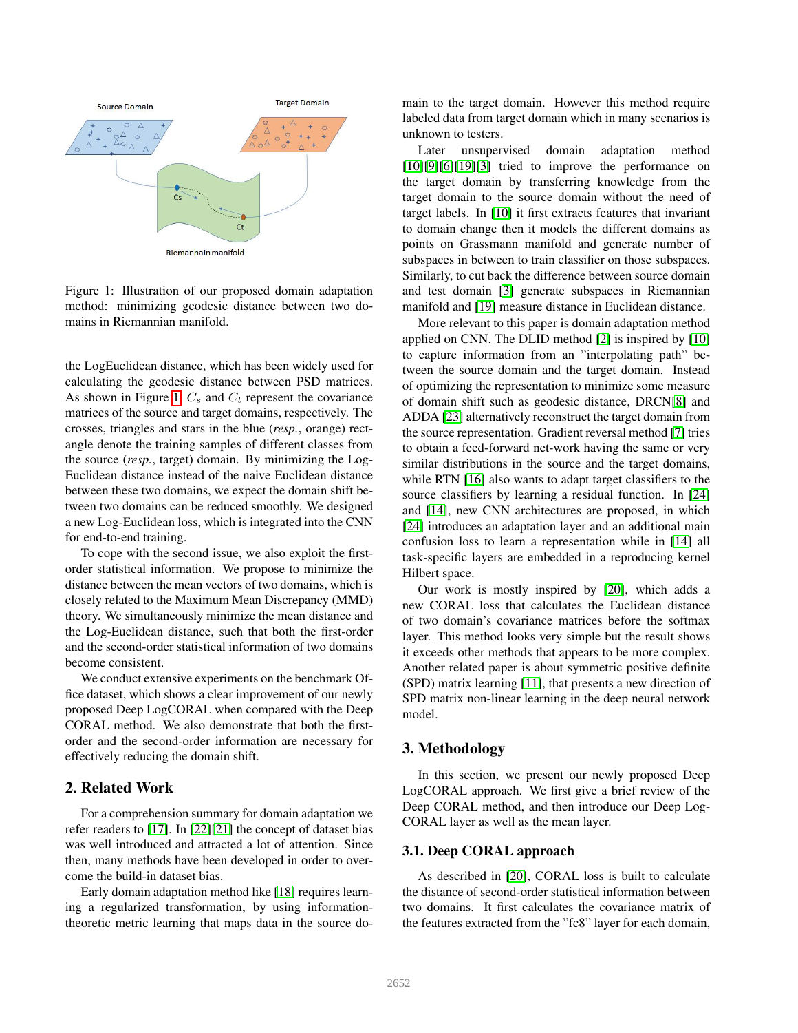<span id="page-1-0"></span>

Figure 1: Illustration of our proposed domain adaptation method: minimizing geodesic distance between two domains in Riemannian manifold.

the LogEuclidean distance, which has been widely used for calculating the geodesic distance between PSD matrices. As shown in Figure [1,](#page-1-0)  $C_s$  and  $C_t$  represent the covariance matrices of the source and target domains, respectively. The crosses, triangles and stars in the blue (*resp.*, orange) rectangle denote the training samples of different classes from the source (*resp.*, target) domain. By minimizing the Log-Euclidean distance instead of the naive Euclidean distance between these two domains, we expect the domain shift between two domains can be reduced smoothly. We designed a new Log-Euclidean loss, which is integrated into the CNN for end-to-end training.

To cope with the second issue, we also exploit the firstorder statistical information. We propose to minimize the distance between the mean vectors of two domains, which is closely related to the Maximum Mean Discrepancy (MMD) theory. We simultaneously minimize the mean distance and the Log-Euclidean distance, such that both the first-order and the second-order statistical information of two domains become consistent.

We conduct extensive experiments on the benchmark Office dataset, which shows a clear improvement of our newly proposed Deep LogCORAL when compared with the Deep CORAL method. We also demonstrate that both the firstorder and the second-order information are necessary for effectively reducing the domain shift.

## 2. Related Work

For a comprehension summary for domain adaptation we refer readers to [\[17\]](#page-6-10). In [\[22\]](#page-6-11)[\[21\]](#page-6-6) the concept of dataset bias was well introduced and attracted a lot of attention. Since then, many methods have been developed in order to overcome the build-in dataset bias.

Early domain adaptation method like [\[18\]](#page-6-7) requires learning a regularized transformation, by using informationtheoretic metric learning that maps data in the source domain to the target domain. However this method require labeled data from target domain which in many scenarios is unknown to testers.

Later unsupervised domain adaptation method  $[10][9][6][19][3]$  $[10][9][6][19][3]$  $[10][9][6][19][3]$  $[10][9][6][19][3]$  $[10][9][6][19][3]$  tried to improve the performance on the target domain by transferring knowledge from the target domain to the source domain without the need of target labels. In [\[10\]](#page-6-8) it first extracts features that invariant to domain change then it models the different domains as points on Grassmann manifold and generate number of subspaces in between to train classifier on those subspaces. Similarly, to cut back the difference between source domain and test domain [\[3\]](#page-6-16) generate subspaces in Riemannian manifold and [\[19\]](#page-6-17) measure distance in Euclidean distance.

More relevant to this paper is domain adaptation method applied on CNN. The DLID method [\[2\]](#page-6-18) is inspired by [\[10\]](#page-6-8) to capture information from an "interpolating path" between the source domain and the target domain. Instead of optimizing the representation to minimize some measure of domain shift such as geodesic distance, DRCN[\[8\]](#page-6-13) and ADDA [\[23\]](#page-6-14) alternatively reconstruct the target domain from the source representation. Gradient reversal method [\[7\]](#page-6-9) tries to obtain a feed-forward net-work having the same or very similar distributions in the source and the target domains, while RTN [\[16\]](#page-6-12) also wants to adapt target classifiers to the source classifiers by learning a residual function. In [\[24\]](#page-6-19) and [\[14\]](#page-6-20), new CNN architectures are proposed, in which [\[24\]](#page-6-19) introduces an adaptation layer and an additional main confusion loss to learn a representation while in [\[14\]](#page-6-20) all task-specific layers are embedded in a reproducing kernel Hilbert space.

Our work is mostly inspired by [\[20\]](#page-6-15), which adds a new CORAL loss that calculates the Euclidean distance of two domain's covariance matrices before the softmax layer. This method looks very simple but the result shows it exceeds other methods that appears to be more complex. Another related paper is about symmetric positive definite (SPD) matrix learning [\[11\]](#page-6-21), that presents a new direction of SPD matrix non-linear learning in the deep neural network model.

# 3. Methodology

In this section, we present our newly proposed Deep LogCORAL approach. We first give a brief review of the Deep CORAL method, and then introduce our Deep Log-CORAL layer as well as the mean layer.

### 3.1. Deep CORAL approach

As described in [\[20\]](#page-6-15), CORAL loss is built to calculate the distance of second-order statistical information between two domains. It first calculates the covariance matrix of the features extracted from the "fc8" layer for each domain,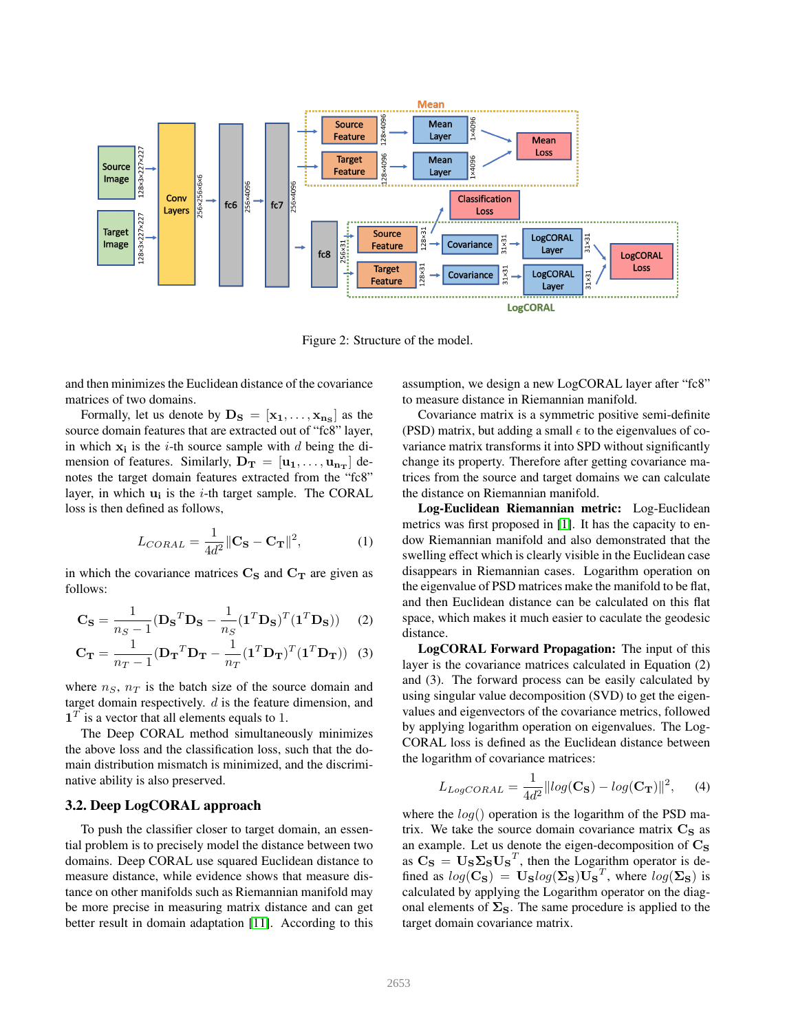<span id="page-2-0"></span>

Figure 2: Structure of the model.

and then minimizes the Euclidean distance of the covariance matrices of two domains.

Formally, let us denote by  $\mathbf{D_S} = [\mathbf{x_1}, \dots, \mathbf{x_{n_S}}]$  as the source domain features that are extracted out of "fc8" layer, in which  $x_i$  is the *i*-th source sample with *d* being the dimension of features. Similarly,  $D_T = [u_1, \ldots, u_{n_T}]$  denotes the target domain features extracted from the "fc8" layer, in which  $\mathbf{u}_i$  is the *i*-th target sample. The CORAL loss is then defined as follows,

$$
L_{CORAL} = \frac{1}{4d^2} \|\mathbf{C}_\mathbf{S} - \mathbf{C}_\mathbf{T}\|^2, \tag{1}
$$

in which the covariance matrices  $C_S$  and  $C_T$  are given as follows:

$$
\mathbf{C_S} = \frac{1}{n_S - 1} (\mathbf{D_S}^T \mathbf{D_S} - \frac{1}{n_S} (\mathbf{1}^T \mathbf{D_S})^T (\mathbf{1}^T \mathbf{D_S})) \tag{2}
$$

$$
\mathbf{C}_{\mathbf{T}} = \frac{1}{n_T - 1} (\mathbf{D}_{\mathbf{T}}^T \mathbf{D}_{\mathbf{T}} - \frac{1}{n_T} (\mathbf{1}^T \mathbf{D}_{\mathbf{T}})^T (\mathbf{1}^T \mathbf{D}_{\mathbf{T}}))
$$
(3)

where  $n<sub>S</sub>$ ,  $n<sub>T</sub>$  is the batch size of the source domain and target domain respectively. d is the feature dimension, and  $\mathbf{1}^T$  is a vector that all elements equals to 1.

The Deep CORAL method simultaneously minimizes the above loss and the classification loss, such that the domain distribution mismatch is minimized, and the discriminative ability is also preserved.

#### 3.2. Deep LogCORAL approach

To push the classifier closer to target domain, an essential problem is to precisely model the distance between two domains. Deep CORAL use squared Euclidean distance to measure distance, while evidence shows that measure distance on other manifolds such as Riemannian manifold may be more precise in measuring matrix distance and can get better result in domain adaptation [\[11\]](#page-6-21). According to this

assumption, we design a new LogCORAL layer after "fc8" to measure distance in Riemannian manifold.

Covariance matrix is a symmetric positive semi-definite (PSD) matrix, but adding a small  $\epsilon$  to the eigenvalues of covariance matrix transforms it into SPD without significantly change its property. Therefore after getting covariance matrices from the source and target domains we can calculate the distance on Riemannian manifold.

Log-Euclidean Riemannian metric: Log-Euclidean metrics was first proposed in [\[1\]](#page-6-22). It has the capacity to endow Riemannian manifold and also demonstrated that the swelling effect which is clearly visible in the Euclidean case disappears in Riemannian cases. Logarithm operation on the eigenvalue of PSD matrices make the manifold to be flat, and then Euclidean distance can be calculated on this flat space, which makes it much easier to caculate the geodesic distance.

LogCORAL Forward Propagation: The input of this layer is the covariance matrices calculated in Equation (2) and (3). The forward process can be easily calculated by using singular value decomposition (SVD) to get the eigenvalues and eigenvectors of the covariance metrics, followed by applying logarithm operation on eigenvalues. The Log-CORAL loss is defined as the Euclidean distance between the logarithm of covariance matrices:

$$
L_{LogCORAL} = \frac{1}{4d^2} ||log(\mathbf{C}_S) - log(\mathbf{C}_T)||^2, \quad (4)
$$

where the  $log()$  operation is the logarithm of the PSD matrix. We take the source domain covariance matrix  $C_S$  as an example. Let us denote the eigen-decomposition of  $\mathrm{C}_\mathrm{S}$ as  $\mathbf{C}_\mathbf{S} = \mathbf{U}_\mathbf{S} \mathbf{\Sigma}_\mathbf{S} \mathbf{U}_\mathbf{S}^T$ , then the Logarithm operator is defined as  $log(\mathbf{C}_s) = \mathbf{U_s}log(\mathbf{\Sigma_s})\mathbf{U_s}^T$ , where  $log(\mathbf{\Sigma_s})$  is calculated by applying the Logarithm operator on the diagonal elements of  $\Sigma$ <sub>S</sub>. The same procedure is applied to the target domain covariance matrix.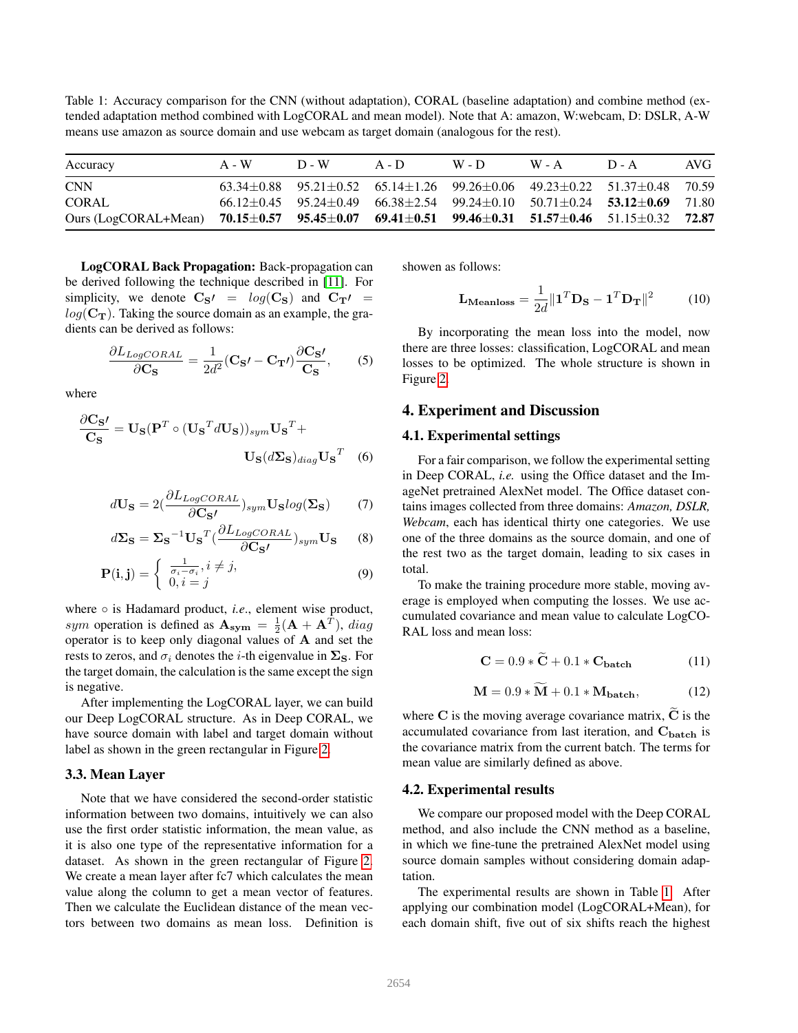<span id="page-3-0"></span>Table 1: Accuracy comparison for the CNN (without adaptation), CORAL (baseline adaptation) and combine method (extended adaptation method combined with LogCORAL and mean model). Note that A: amazon, W:webcam, D: DSLR, A-W means use amazon as source domain and use webcam as target domain (analogous for the rest).

| Accuracy                                                                                                                         | $A - W$ | $D - W$ | $A - D$ | $W - D$ | $W - A$ | $D - A$                                                                                           | AVG. |
|----------------------------------------------------------------------------------------------------------------------------------|---------|---------|---------|---------|---------|---------------------------------------------------------------------------------------------------|------|
| <b>CNN</b>                                                                                                                       |         |         |         |         |         | $63.34\pm0.88$ $95.21\pm0.52$ $65.14\pm1.26$ $99.26\pm0.06$ $49.23\pm0.22$ $51.37\pm0.48$ $70.59$ |      |
| <b>CORAL</b>                                                                                                                     |         |         |         |         |         | $66.12\pm0.45$ $95.24\pm0.49$ $66.38\pm2.54$ $99.24\pm0.10$ $50.71\pm0.24$ $53.12\pm0.69$ $71.80$ |      |
| Ours (LogCORAL+Mean) 70.15 $\pm$ 0.57 95.45 $\pm$ 0.07 69.41 $\pm$ 0.51 99.46 $\pm$ 0.31 51.57 $\pm$ 0.46 51.15 $\pm$ 0.32 72.87 |         |         |         |         |         |                                                                                                   |      |

LogCORAL Back Propagation: Back-propagation can be derived following the technique described in [\[11\]](#page-6-21). For simplicity, we denote  $C_{S'} = log(C_S)$  and  $C_{T'} =$  $log(\mathbf{C_T})$ . Taking the source domain as an example, the gradients can be derived as follows:

$$
\frac{\partial L_{LogCORAL}}{\partial \mathbf{C_S}} = \frac{1}{2d^2} (\mathbf{C_S} \cdot - \mathbf{C_T}) \frac{\partial \mathbf{C_S} \cdot}{\mathbf{C_S}},\qquad(5)
$$

where

$$
\frac{\partial \mathbf{C_S}'}{\mathbf{C_S}} = \mathbf{U_S} (\mathbf{P}^T \circ (\mathbf{U_S}^T d\mathbf{U_S}))_{sym} \mathbf{U_S}^T + \mathbf{U_S} (d\mathbf{\Sigma_S})_{diag} \mathbf{U_S}^T
$$
 (6)

$$
d\mathbf{U}_{\mathbf{S}} = 2(\frac{\partial L_{LogCORAL}}{\partial \mathbf{C}_{\mathbf{S}}^{\prime}})_{sym} \mathbf{U}_{\mathbf{S}} log(\mathbf{\Sigma}_{\mathbf{S}})
$$
 (7)

$$
d\Sigma_{\mathbf{S}} = \Sigma_{\mathbf{S}}^{-1} \mathbf{U}_{\mathbf{S}}^T \left( \frac{\partial L_{LogCORAL}}{\partial \mathbf{C}_{\mathbf{S'}}} \right)_{sym} \mathbf{U}_{\mathbf{S}} \tag{8}
$$

$$
\mathbf{P(i,j)} = \begin{cases} \frac{1}{\sigma_i - \sigma_i}, i \neq j, \\ 0, i = j \end{cases}
$$
 (9)

where ○ is Hadamard product, *i.e.*, element wise product, sym operation is defined as  $\mathbf{A_{sym}} = \frac{1}{2}(\mathbf{A} + \mathbf{A}^{T})$ , diag operator is to keep only diagonal values of A and set the rests to zeros, and  $\sigma_i$  denotes the *i*-th eigenvalue in  $\Sigma$ <sub>S</sub>. For the target domain, the calculation is the same except the sign is negative.

After implementing the LogCORAL layer, we can build our Deep LogCORAL structure. As in Deep CORAL, we have source domain with label and target domain without label as shown in the green rectangular in Figure [2.](#page-2-0)

#### 3.3. Mean Layer

Note that we have considered the second-order statistic information between two domains, intuitively we can also use the first order statistic information, the mean value, as it is also one type of the representative information for a dataset. As shown in the green rectangular of Figure [2.](#page-2-0) We create a mean layer after fc7 which calculates the mean value along the column to get a mean vector of features. Then we calculate the Euclidean distance of the mean vectors between two domains as mean loss. Definition is showen as follows:

$$
\mathbf{L}_{\text{Meanloss}} = \frac{1}{2d} ||\mathbf{1}^T \mathbf{D}_\mathbf{S} - \mathbf{1}^T \mathbf{D}_\mathbf{T}||^2 \tag{10}
$$

By incorporating the mean loss into the model, now there are three losses: classification, LogCORAL and mean losses to be optimized. The whole structure is shown in Figure [2.](#page-2-0)

#### 4. Experiment and Discussion

#### 4.1. Experimental settings

For a fair comparison, we follow the experimental setting in Deep CORAL, *i.e.* using the Office dataset and the ImageNet pretrained AlexNet model. The Office dataset contains images collected from three domains: *Amazon, DSLR, Webcam*, each has identical thirty one categories. We use one of the three domains as the source domain, and one of the rest two as the target domain, leading to six cases in total.

To make the training procedure more stable, moving average is employed when computing the losses. We use accumulated covariance and mean value to calculate LogCO-RAL loss and mean loss:

$$
\mathbf{C} = 0.9 * \tilde{\mathbf{C}} + 0.1 * \mathbf{C}_{\text{batch}} \tag{11}
$$

$$
\mathbf{M} = 0.9 * \widetilde{\mathbf{M}} + 0.1 * \mathbf{M}_{\text{batch}}, \tag{12}
$$

where C is the moving average covariance matrix,  $\tilde{C}$  is the accumulated covariance from last iteration, and  $C_{\text{batch}}$  is the covariance matrix from the current batch. The terms for mean value are similarly defined as above.

#### 4.2. Experimental results

We compare our proposed model with the Deep CORAL method, and also include the CNN method as a baseline, in which we fine-tune the pretrained AlexNet model using source domain samples without considering domain adaptation.

The experimental results are shown in Table [1.](#page-3-0) After applying our combination model (LogCORAL+Mean), for each domain shift, five out of six shifts reach the highest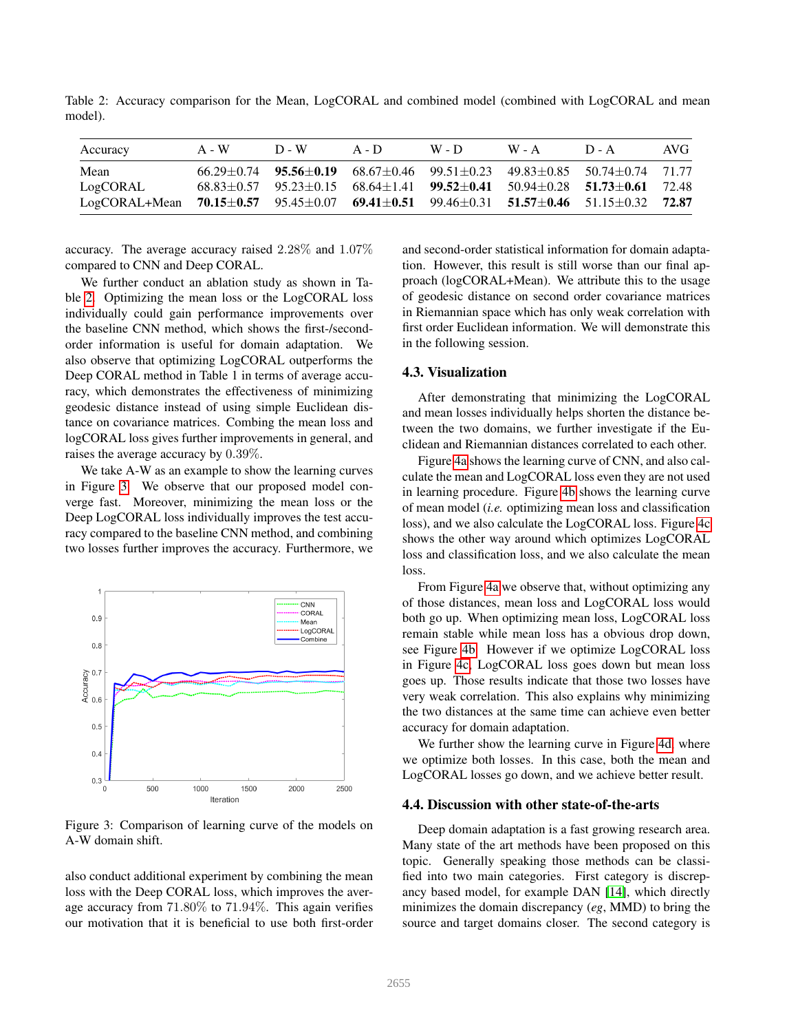<span id="page-4-0"></span>Table 2: Accuracy comparison for the Mean, LogCORAL and combined model (combined with LogCORAL and mean model).

| Accuracy      | A - W | $D - W$ | $A - D$ | $W - D$ | $W - A$ | $D - A$                                                                                                       | AVG- |
|---------------|-------|---------|---------|---------|---------|---------------------------------------------------------------------------------------------------------------|------|
| Mean          |       |         |         |         |         | $66.29 \pm 0.74$ $95.56 \pm 0.19$ $68.67 \pm 0.46$ $99.51 \pm 0.23$ $49.83 \pm 0.85$ $50.74 \pm 0.74$ $71.77$ |      |
| LogCORAL      |       |         |         |         |         | $68.83\pm0.57$ $95.23\pm0.15$ $68.64\pm1.41$ $99.52\pm0.41$ $50.94\pm0.28$ $51.73\pm0.61$ 72.48               |      |
| LogCORAL+Mean |       |         |         |         |         | 70.15 $\pm$ 0.57 95.45 $\pm$ 0.07 69.41 $\pm$ 0.51 99.46 $\pm$ 0.31 51.57 $\pm$ 0.46 51.15 $\pm$ 0.32 72.87   |      |

accuracy. The average accuracy raised 2.28% and 1.07% compared to CNN and Deep CORAL.

We further conduct an ablation study as shown in Table [2.](#page-4-0) Optimizing the mean loss or the LogCORAL loss individually could gain performance improvements over the baseline CNN method, which shows the first-/secondorder information is useful for domain adaptation. We also observe that optimizing LogCORAL outperforms the Deep CORAL method in Table 1 in terms of average accuracy, which demonstrates the effectiveness of minimizing geodesic distance instead of using simple Euclidean distance on covariance matrices. Combing the mean loss and logCORAL loss gives further improvements in general, and raises the average accuracy by 0.39%.

We take A-W as an example to show the learning curves in Figure [3.](#page-4-1) We observe that our proposed model converge fast. Moreover, minimizing the mean loss or the Deep LogCORAL loss individually improves the test accuracy compared to the baseline CNN method, and combining two losses further improves the accuracy. Furthermore, we

<span id="page-4-1"></span>

Figure 3: Comparison of learning curve of the models on A-W domain shift.

also conduct additional experiment by combining the mean loss with the Deep CORAL loss, which improves the average accuracy from 71.80% to 71.94%. This again verifies our motivation that it is beneficial to use both first-order and second-order statistical information for domain adaptation. However, this result is still worse than our final approach (logCORAL+Mean). We attribute this to the usage of geodesic distance on second order covariance matrices in Riemannian space which has only weak correlation with first order Euclidean information. We will demonstrate this in the following session.

## 4.3. Visualization

After demonstrating that minimizing the LogCORAL and mean losses individually helps shorten the distance between the two domains, we further investigate if the Euclidean and Riemannian distances correlated to each other.

Figure [4a](#page-5-0) shows the learning curve of CNN, and also calculate the mean and LogCORAL loss even they are not used in learning procedure. Figure [4b](#page-5-1) shows the learning curve of mean model (*i.e.* optimizing mean loss and classification loss), and we also calculate the LogCORAL loss. Figure [4c](#page-5-2) shows the other way around which optimizes LogCORAL loss and classification loss, and we also calculate the mean loss.

From Figure [4a](#page-5-0) we observe that, without optimizing any of those distances, mean loss and LogCORAL loss would both go up. When optimizing mean loss, LogCORAL loss remain stable while mean loss has a obvious drop down, see Figure [4b.](#page-5-1) However if we optimize LogCORAL loss in Figure [4c,](#page-5-2) LogCORAL loss goes down but mean loss goes up. Those results indicate that those two losses have very weak correlation. This also explains why minimizing the two distances at the same time can achieve even better accuracy for domain adaptation.

We further show the learning curve in Figure [4d,](#page-5-3) where we optimize both losses. In this case, both the mean and LogCORAL losses go down, and we achieve better result.

#### 4.4. Discussion with other state-of-the-arts

Deep domain adaptation is a fast growing research area. Many state of the art methods have been proposed on this topic. Generally speaking those methods can be classified into two main categories. First category is discrepancy based model, for example DAN [\[14\]](#page-6-20), which directly minimizes the domain discrepancy (*eg*, MMD) to bring the source and target domains closer. The second category is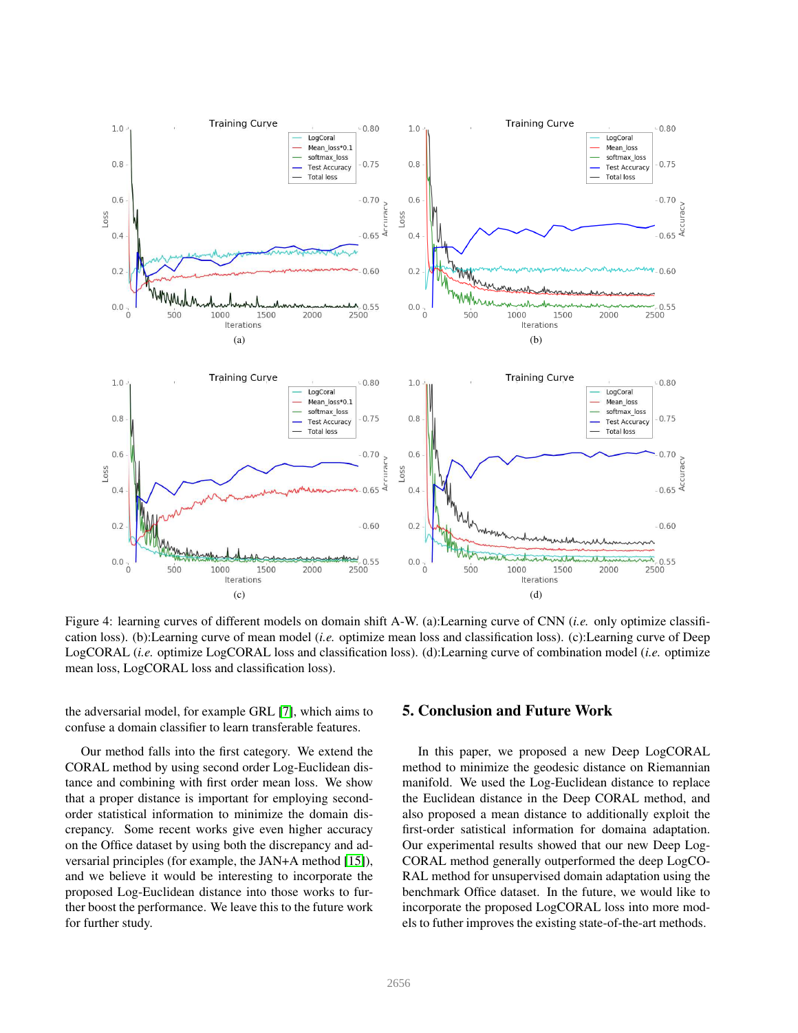<span id="page-5-1"></span><span id="page-5-0"></span>

<span id="page-5-2"></span>Figure 4: learning curves of different models on domain shift A-W. (a):Learning curve of CNN (*i.e.* only optimize classification loss). (b):Learning curve of mean model (*i.e.* optimize mean loss and classification loss). (c):Learning curve of Deep LogCORAL (*i.e.* optimize LogCORAL loss and classification loss). (d):Learning curve of combination model (*i.e.* optimize mean loss, LogCORAL loss and classification loss).

the adversarial model, for example GRL [\[7\]](#page-6-9), which aims to confuse a domain classifier to learn transferable features.

Our method falls into the first category. We extend the CORAL method by using second order Log-Euclidean distance and combining with first order mean loss. We show that a proper distance is important for employing secondorder statistical information to minimize the domain discrepancy. Some recent works give even higher accuracy on the Office dataset by using both the discrepancy and adversarial principles (for example, the JAN+A method [\[15\]](#page-6-23)), and we believe it would be interesting to incorporate the proposed Log-Euclidean distance into those works to further boost the performance. We leave this to the future work for further study.

## <span id="page-5-3"></span>5. Conclusion and Future Work

In this paper, we proposed a new Deep LogCORAL method to minimize the geodesic distance on Riemannian manifold. We used the Log-Euclidean distance to replace the Euclidean distance in the Deep CORAL method, and also proposed a mean distance to additionally exploit the first-order satistical information for domaina adaptation. Our experimental results showed that our new Deep Log-CORAL method generally outperformed the deep LogCO-RAL method for unsupervised domain adaptation using the benchmark Office dataset. In the future, we would like to incorporate the proposed LogCORAL loss into more models to futher improves the existing state-of-the-art methods.